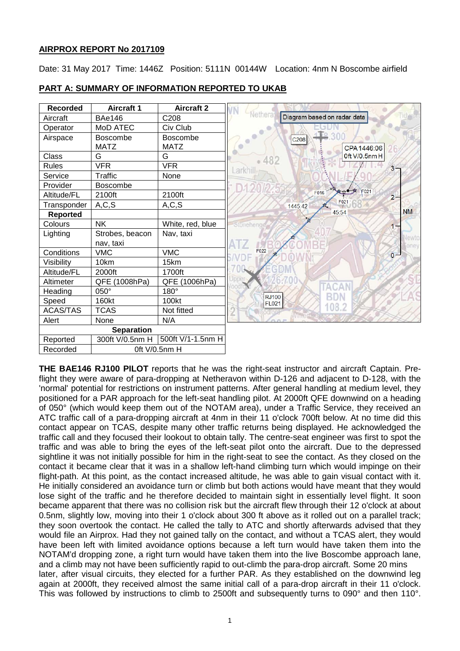# **AIRPROX REPORT No 2017109**

Date: 31 May 2017 Time: 1446Z Position: 5111N 00144W Location: 4nm N Boscombe airfield



## **PART A: SUMMARY OF INFORMATION REPORTED TO UKAB**

**THE BAE146 RJ100 PILOT** reports that he was the right-seat instructor and aircraft Captain. Preflight they were aware of para-dropping at Netheravon within D-126 and adjacent to D-128, with the 'normal' potential for restrictions on instrument patterns. After general handling at medium level, they positioned for a PAR approach for the left-seat handling pilot. At 2000ft QFE downwind on a heading of 050° (which would keep them out of the NOTAM area), under a Traffic Service, they received an ATC traffic call of a para-dropping aircraft at 4nm in their 11 o'clock 700ft below. At no time did this contact appear on TCAS, despite many other traffic returns being displayed. He acknowledged the traffic call and they focused their lookout to obtain tally. The centre-seat engineer was first to spot the traffic and was able to bring the eyes of the left-seat pilot onto the aircraft. Due to the depressed sightline it was not initially possible for him in the right-seat to see the contact. As they closed on the contact it became clear that it was in a shallow left-hand climbing turn which would impinge on their flight-path. At this point, as the contact increased altitude, he was able to gain visual contact with it. He initially considered an avoidance turn or climb but both actions would have meant that they would lose sight of the traffic and he therefore decided to maintain sight in essentially level flight. It soon became apparent that there was no collision risk but the aircraft flew through their 12 o'clock at about 0.5nm, slightly low, moving into their 1 o'clock about 300 ft above as it rolled out on a parallel track; they soon overtook the contact. He called the tally to ATC and shortly afterwards advised that they would file an Airprox. Had they not gained tally on the contact, and without a TCAS alert, they would have been left with limited avoidance options because a left turn would have taken them into the NOTAM'd dropping zone, a right turn would have taken them into the live Boscombe approach lane, and a climb may not have been sufficiently rapid to out-climb the para-drop aircraft. Some 20 mins later, after visual circuits, they elected for a further PAR. As they established on the downwind leg again at 2000ft, they received almost the same initial call of a para-drop aircraft in their 11 o'clock. This was followed by instructions to climb to 2500ft and subsequently turns to 090° and then 110°.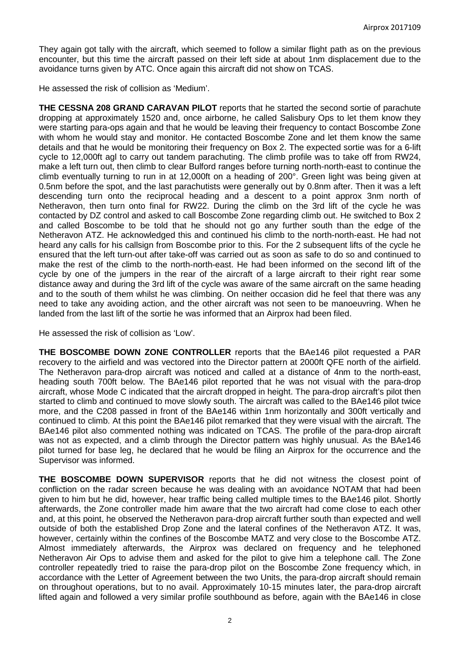They again got tally with the aircraft, which seemed to follow a similar flight path as on the previous encounter, but this time the aircraft passed on their left side at about 1nm displacement due to the avoidance turns given by ATC. Once again this aircraft did not show on TCAS.

He assessed the risk of collision as 'Medium'.

**THE CESSNA 208 GRAND CARAVAN PILOT** reports that he started the second sortie of parachute dropping at approximately 1520 and, once airborne, he called Salisbury Ops to let them know they were starting para-ops again and that he would be leaving their frequency to contact Boscombe Zone with whom he would stay and monitor. He contacted Boscombe Zone and let them know the same details and that he would be monitoring their frequency on Box 2. The expected sortie was for a 6-lift cycle to 12,000ft agl to carry out tandem parachuting. The climb profile was to take off from RW24, make a left turn out, then climb to clear Bulford ranges before turning north-north-east to continue the climb eventually turning to run in at 12,000ft on a heading of 200°. Green light was being given at 0.5nm before the spot, and the last parachutists were generally out by 0.8nm after. Then it was a left descending turn onto the reciprocal heading and a descent to a point approx 3nm north of Netheravon, then turn onto final for RW22. During the climb on the 3rd lift of the cycle he was contacted by DZ control and asked to call Boscombe Zone regarding climb out. He switched to Box 2 and called Boscombe to be told that he should not go any further south than the edge of the Netheravon ATZ. He acknowledged this and continued his climb to the north-north-east. He had not heard any calls for his callsign from Boscombe prior to this. For the 2 subsequent lifts of the cycle he ensured that the left turn-out after take-off was carried out as soon as safe to do so and continued to make the rest of the climb to the north-north-east. He had been informed on the second lift of the cycle by one of the jumpers in the rear of the aircraft of a large aircraft to their right rear some distance away and during the 3rd lift of the cycle was aware of the same aircraft on the same heading and to the south of them whilst he was climbing. On neither occasion did he feel that there was any need to take any avoiding action, and the other aircraft was not seen to be manoeuvring. When he landed from the last lift of the sortie he was informed that an Airprox had been filed.

He assessed the risk of collision as 'Low'.

**THE BOSCOMBE DOWN ZONE CONTROLLER** reports that the BAe146 pilot requested a PAR recovery to the airfield and was vectored into the Director pattern at 2000ft QFE north of the airfield. The Netheravon para-drop aircraft was noticed and called at a distance of 4nm to the north-east, heading south 700ft below. The BAe146 pilot reported that he was not visual with the para-drop aircraft, whose Mode C indicated that the aircraft dropped in height. The para-drop aircraft's pilot then started to climb and continued to move slowly south. The aircraft was called to the BAe146 pilot twice more, and the C208 passed in front of the BAe146 within 1nm horizontally and 300ft vertically and continued to climb. At this point the BAe146 pilot remarked that they were visual with the aircraft. The BAe146 pilot also commented nothing was indicated on TCAS. The profile of the para-drop aircraft was not as expected, and a climb through the Director pattern was highly unusual. As the BAe146 pilot turned for base leg, he declared that he would be filing an Airprox for the occurrence and the Supervisor was informed.

**THE BOSCOMBE DOWN SUPERVISOR** reports that he did not witness the closest point of confliction on the radar screen because he was dealing with an avoidance NOTAM that had been given to him but he did, however, hear traffic being called multiple times to the BAe146 pilot. Shortly afterwards, the Zone controller made him aware that the two aircraft had come close to each other and, at this point, he observed the Netheravon para-drop aircraft further south than expected and well outside of both the established Drop Zone and the lateral confines of the Netheravon ATZ. It was, however, certainly within the confines of the Boscombe MATZ and very close to the Boscombe ATZ. Almost immediately afterwards, the Airprox was declared on frequency and he telephoned Netheravon Air Ops to advise them and asked for the pilot to give him a telephone call. The Zone controller repeatedly tried to raise the para-drop pilot on the Boscombe Zone frequency which, in accordance with the Letter of Agreement between the two Units, the para-drop aircraft should remain on throughout operations, but to no avail. Approximately 10-15 minutes later, the para-drop aircraft lifted again and followed a very similar profile southbound as before, again with the BAe146 in close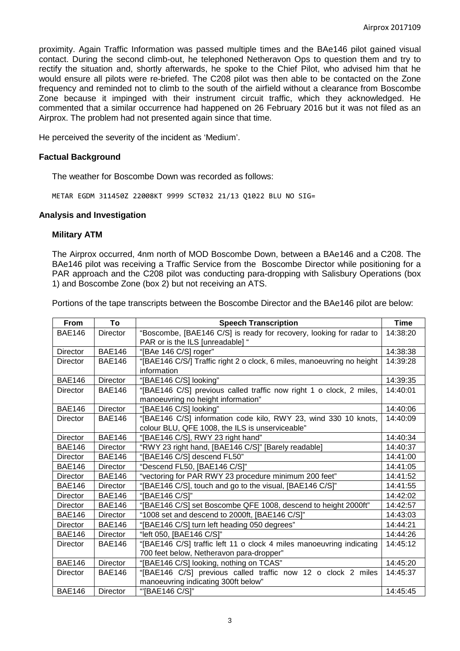proximity. Again Traffic Information was passed multiple times and the BAe146 pilot gained visual contact. During the second climb-out, he telephoned Netheravon Ops to question them and try to rectify the situation and, shortly afterwards, he spoke to the Chief Pilot, who advised him that he would ensure all pilots were re-briefed. The C208 pilot was then able to be contacted on the Zone frequency and reminded not to climb to the south of the airfield without a clearance from Boscombe Zone because it impinged with their instrument circuit traffic, which they acknowledged. He commented that a similar occurrence had happened on 26 February 2016 but it was not filed as an Airprox. The problem had not presented again since that time.

He perceived the severity of the incident as 'Medium'.

## **Factual Background**

The weather for Boscombe Down was recorded as follows:

METAR EGDM 311450Z 22008KT 9999 SCT032 21/13 Q1022 BLU NO SIG=

### **Analysis and Investigation**

### **Military ATM**

The Airprox occurred, 4nm north of MOD Boscombe Down, between a BAe146 and a C208. The BAe146 pilot was receiving a Traffic Service from the Boscombe Director while positioning for a PAR approach and the C208 pilot was conducting para-dropping with Salisbury Operations (box 1) and Boscombe Zone (box 2) but not receiving an ATS.

Portions of the tape transcripts between the Boscombe Director and the BAe146 pilot are below:

| <b>From</b>     | To              | <b>Speech Transcription</b>                                                                             | <b>Time</b> |
|-----------------|-----------------|---------------------------------------------------------------------------------------------------------|-------------|
| <b>BAE146</b>   | <b>Director</b> | "Boscombe, [BAE146 C/S] is ready for recovery, looking for radar to<br>PAR or is the ILS [unreadable] " | 14:38:20    |
| <b>Director</b> | <b>BAE146</b>   | "[BAe 146 C/S] roger"                                                                                   | 14:38:38    |
| <b>Director</b> | <b>BAE146</b>   | "[BAE146 C/S/] Traffic right 2 o clock, 6 miles, manoeuvring no height                                  | 14:39:28    |
|                 |                 | information                                                                                             |             |
| <b>BAE146</b>   | Director        | "[BAE146 C/S] looking"                                                                                  | 14:39:35    |
| Director        | <b>BAE146</b>   | "[BAE146 C/S] previous called traffic now right 1 o clock, 2 miles,                                     | 14:40:01    |
|                 |                 | manoeuvring no height information"                                                                      |             |
| <b>BAE146</b>   | Director        | "[BAE146 C/S] looking"                                                                                  | 14:40:06    |
| Director        | <b>BAE146</b>   | "[BAE146 C/S] information code kilo, RWY 23, wind 330 10 knots,                                         | 14:40:09    |
|                 |                 | colour BLU, QFE 1008, the ILS is unserviceable"                                                         |             |
| <b>Director</b> | <b>BAE146</b>   | "[BAE146 C/S], RWY 23 right hand"                                                                       | 14:40:34    |
| <b>BAE146</b>   | <b>Director</b> | "RWY 23 right hand, [BAE146 C/S]" [Barely readable]                                                     | 14:40:37    |
| <b>Director</b> | <b>BAE146</b>   | "[BAE146 C/S] descend FL50"                                                                             | 14:41:00    |
| <b>BAE146</b>   | <b>Director</b> | "Descend FL50, [BAE146 C/S]"                                                                            | 14:41:05    |
| <b>Director</b> | <b>BAE146</b>   | "vectoring for PAR RWY 23 procedure minimum 200 feet"                                                   | 14:41:52    |
| <b>BAE146</b>   | <b>Director</b> | "[BAE146 C/S], touch and go to the visual, [BAE146 C/S]"                                                | 14:41:55    |
| Director        | <b>BAE146</b>   | "[BAE146 C/S]"                                                                                          | 14:42:02    |
| <b>Director</b> | <b>BAE146</b>   | "[BAE146 C/S] set Boscombe QFE 1008, descend to height 2000ft"                                          | 14:42:57    |
| <b>BAE146</b>   | <b>Director</b> | "1008 set and descend to 2000ft, [BAE146 C/S]"                                                          | 14:43:03    |
| <b>Director</b> | <b>BAE146</b>   | "[BAE146 C/S] turn left heading 050 degrees"                                                            | 14:44:21    |
| <b>BAE146</b>   | <b>Director</b> | "left 050, [BAE146 C/S]"                                                                                | 14:44:26    |
| <b>Director</b> | <b>BAE146</b>   | "[BAE146 C/S] traffic left 11 o clock 4 miles manoeuvring indicating                                    | 14:45:12    |
|                 |                 | 700 feet below, Netheravon para-dropper"                                                                |             |
| <b>BAE146</b>   | Director        | "[BAE146 C/S] looking, nothing on TCAS"                                                                 | 14:45:20    |
| Director        | <b>BAE146</b>   | "[BAE146 C/S] previous called traffic now 12 o clock 2 miles                                            | 14:45:37    |
|                 |                 | manoeuvring indicating 300ft below"                                                                     |             |
| <b>BAE146</b>   | <b>Director</b> | "[BAE146 C/S]"                                                                                          | 14:45:45    |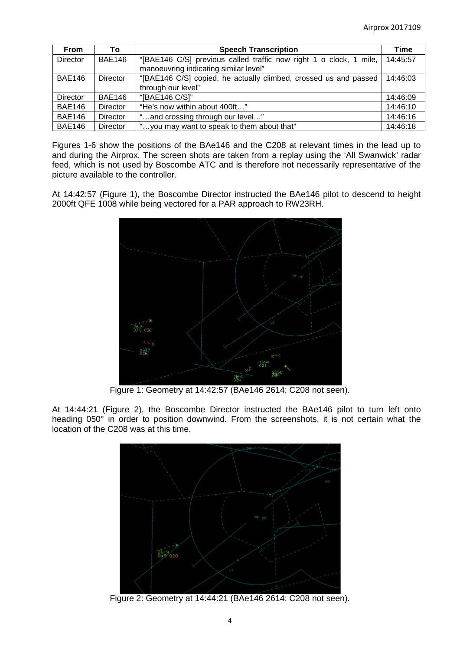| <b>From</b>     | Т٥            | <b>Speech Transcription</b>                                        | Time     |
|-----------------|---------------|--------------------------------------------------------------------|----------|
| <b>Director</b> | <b>BAE146</b> | "[BAE146 C/S] previous called traffic now right 1 o clock, 1 mile, | 14:45:57 |
|                 |               | manoeuvring indicating similar level"                              |          |
| <b>BAE146</b>   | Director      | "[BAE146 C/S] copied, he actually climbed, crossed us and passed   | 14:46:03 |
|                 |               | through our level"                                                 |          |
| Director        | <b>BAE146</b> | "[BAE146 C/S]"                                                     | 14:46:09 |
| <b>BAE146</b>   | Director      | "He's now within about 400ft"                                      | 14:46:10 |
| <b>BAE146</b>   | Director      | "and crossing through our level"                                   | 14:46:16 |
| <b>BAE146</b>   | Director      | "you may want to speak to them about that"                         | 14:46:18 |

Figures 1-6 show the positions of the BAe146 and the C208 at relevant times in the lead up to and during the Airprox. The screen shots are taken from a replay using the 'All Swanwick' radar feed, which is not used by Boscombe ATC and is therefore not necessarily representative of the picture available to the controller.

At 14:42:57 (Figure 1), the Boscombe Director instructed the BAe146 pilot to descend to height 2000ft QFE 1008 while being vectored for a PAR approach to RW23RH.



Figure 1: Geometry at 14:42:57 (BAe146 2614; C208 not seen).

At 14:44:21 (Figure 2), the Boscombe Director instructed the BAe146 pilot to turn left onto heading 050° in order to position downwind. From the screenshots, it is not certain what the location of the C208 was at this time.



Figure 2: Geometry at 14:44:21 (BAe146 2614; C208 not seen).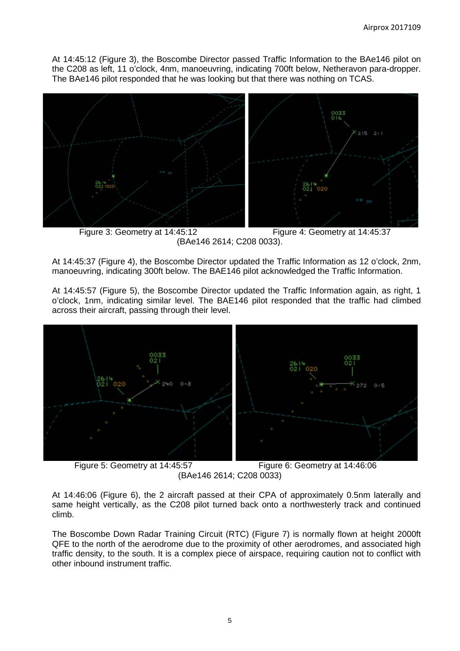At 14:45:12 (Figure 3), the Boscombe Director passed Traffic Information to the BAe146 pilot on the C208 as left, 11 o'clock, 4nm, manoeuvring, indicating 700ft below, Netheravon para-dropper. The BAe146 pilot responded that he was looking but that there was nothing on TCAS.



 Figure 3: Geometry at 14:45:12 Figure 4: Geometry at 14:45:37 (BAe146 2614; C208 0033).

At 14:45:37 (Figure 4), the Boscombe Director updated the Traffic Information as 12 o'clock, 2nm, manoeuvring, indicating 300ft below. The BAE146 pilot acknowledged the Traffic Information.

At 14:45:57 (Figure 5), the Boscombe Director updated the Traffic Information again, as right, 1 o'clock, 1nm, indicating similar level. The BAE146 pilot responded that the traffic had climbed across their aircraft, passing through their level.



Figure 5: Geometry at 14:45:57 Figure 6: Geometry at 14:46:06 (BAe146 2614; C208 0033)

At 14:46:06 (Figure 6), the 2 aircraft passed at their CPA of approximately 0.5nm laterally and same height vertically, as the C208 pilot turned back onto a northwesterly track and continued climb.

The Boscombe Down Radar Training Circuit (RTC) (Figure 7) is normally flown at height 2000ft QFE to the north of the aerodrome due to the proximity of other aerodromes, and associated high traffic density, to the south. It is a complex piece of airspace, requiring caution not to conflict with other inbound instrument traffic.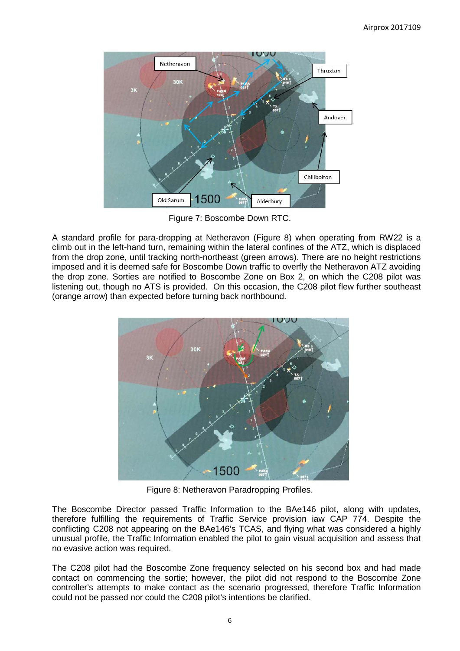

Figure 7: Boscombe Down RTC.

A standard profile for para-dropping at Netheravon (Figure 8) when operating from RW22 is a climb out in the left-hand turn, remaining within the lateral confines of the ATZ, which is displaced from the drop zone, until tracking north-northeast (green arrows). There are no height restrictions imposed and it is deemed safe for Boscombe Down traffic to overfly the Netheravon ATZ avoiding the drop zone. Sorties are notified to Boscombe Zone on Box 2, on which the C208 pilot was listening out, though no ATS is provided. On this occasion, the C208 pilot flew further southeast (orange arrow) than expected before turning back northbound.



Figure 8: Netheravon Paradropping Profiles.

The Boscombe Director passed Traffic Information to the BAe146 pilot, along with updates, therefore fulfilling the requirements of Traffic Service provision iaw CAP 774. Despite the conflicting C208 not appearing on the BAe146's TCAS, and flying what was considered a highly unusual profile, the Traffic Information enabled the pilot to gain visual acquisition and assess that no evasive action was required.

The C208 pilot had the Boscombe Zone frequency selected on his second box and had made contact on commencing the sortie; however, the pilot did not respond to the Boscombe Zone controller's attempts to make contact as the scenario progressed, therefore Traffic Information could not be passed nor could the C208 pilot's intentions be clarified.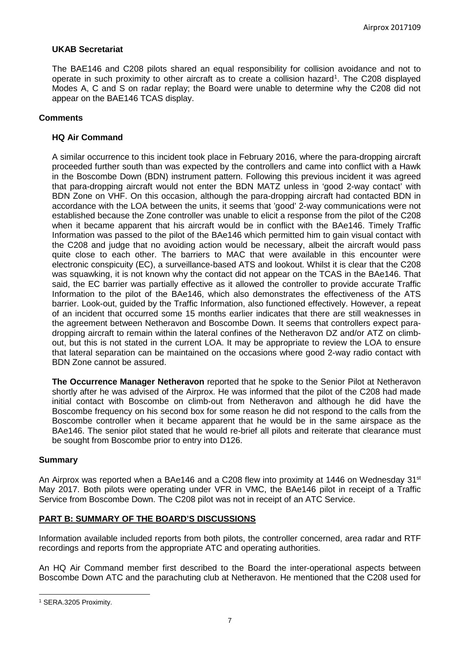# **UKAB Secretariat**

The BAE146 and C208 pilots shared an equal responsibility for collision avoidance and not to operate in such proximity to other aircraft as to create a collision hazard<sup>[1](#page-6-0)</sup>. The C208 displayed Modes A, C and S on radar replay; the Board were unable to determine why the C208 did not appear on the BAE146 TCAS display.

## **Comments**

## **HQ Air Command**

A similar occurrence to this incident took place in February 2016, where the para-dropping aircraft proceeded further south than was expected by the controllers and came into conflict with a Hawk in the Boscombe Down (BDN) instrument pattern. Following this previous incident it was agreed that para-dropping aircraft would not enter the BDN MATZ unless in 'good 2-way contact' with BDN Zone on VHF. On this occasion, although the para-dropping aircraft had contacted BDN in accordance with the LOA between the units, it seems that 'good' 2-way communications were not established because the Zone controller was unable to elicit a response from the pilot of the C208 when it became apparent that his aircraft would be in conflict with the BAe146. Timely Traffic Information was passed to the pilot of the BAe146 which permitted him to gain visual contact with the C208 and judge that no avoiding action would be necessary, albeit the aircraft would pass quite close to each other. The barriers to MAC that were available in this encounter were electronic conspicuity (EC), a surveillance-based ATS and lookout. Whilst it is clear that the C208 was squawking, it is not known why the contact did not appear on the TCAS in the BAe146. That said, the EC barrier was partially effective as it allowed the controller to provide accurate Traffic Information to the pilot of the BAe146, which also demonstrates the effectiveness of the ATS barrier. Look-out, guided by the Traffic Information, also functioned effectively. However, a repeat of an incident that occurred some 15 months earlier indicates that there are still weaknesses in the agreement between Netheravon and Boscombe Down. It seems that controllers expect paradropping aircraft to remain within the lateral confines of the Netheravon DZ and/or ATZ on climbout, but this is not stated in the current LOA. It may be appropriate to review the LOA to ensure that lateral separation can be maintained on the occasions where good 2-way radio contact with BDN Zone cannot be assured.

**The Occurrence Manager Netheravon** reported that he spoke to the Senior Pilot at Netheravon shortly after he was advised of the Airprox. He was informed that the pilot of the C208 had made initial contact with Boscombe on climb-out from Netheravon and although he did have the Boscombe frequency on his second box for some reason he did not respond to the calls from the Boscombe controller when it became apparent that he would be in the same airspace as the BAe146. The senior pilot stated that he would re-brief all pilots and reiterate that clearance must be sought from Boscombe prior to entry into D126.

### **Summary**

An Airprox was reported when a BAe146 and a C208 flew into proximity at 1446 on Wednesday 31<sup>st</sup> May 2017. Both pilots were operating under VFR in VMC, the BAe146 pilot in receipt of a Traffic Service from Boscombe Down. The C208 pilot was not in receipt of an ATC Service.

# **PART B: SUMMARY OF THE BOARD'S DISCUSSIONS**

Information available included reports from both pilots, the controller concerned, area radar and RTF recordings and reports from the appropriate ATC and operating authorities.

An HQ Air Command member first described to the Board the inter-operational aspects between Boscombe Down ATC and the parachuting club at Netheravon. He mentioned that the C208 used for

 $\overline{\phantom{a}}$ 

<span id="page-6-0"></span><sup>1</sup> SERA.3205 Proximity.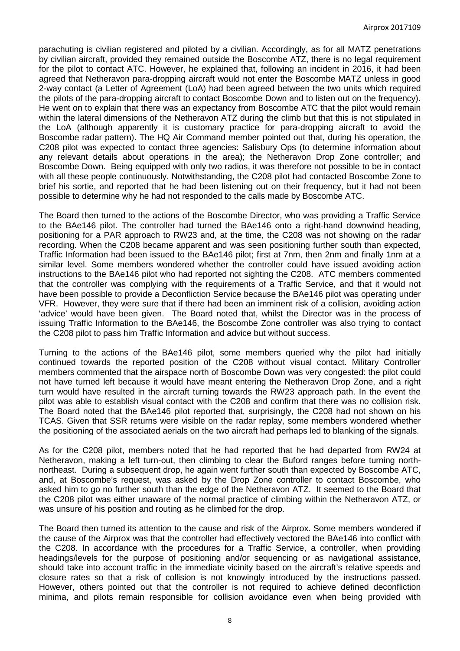parachuting is civilian registered and piloted by a civilian. Accordingly, as for all MATZ penetrations by civilian aircraft, provided they remained outside the Boscombe ATZ, there is no legal requirement for the pilot to contact ATC. However, he explained that, following an incident in 2016, it had been agreed that Netheravon para-dropping aircraft would not enter the Boscombe MATZ unless in good 2-way contact (a Letter of Agreement (LoA) had been agreed between the two units which required the pilots of the para-dropping aircraft to contact Boscombe Down and to listen out on the frequency). He went on to explain that there was an expectancy from Boscombe ATC that the pilot would remain within the lateral dimensions of the Netheravon ATZ during the climb but that this is not stipulated in the LoA (although apparently it is customary practice for para-dropping aircraft to avoid the Boscombe radar pattern). The HQ Air Command member pointed out that, during his operation, the C208 pilot was expected to contact three agencies: Salisbury Ops (to determine information about any relevant details about operations in the area); the Netheravon Drop Zone controller; and Boscombe Down. Being equipped with only two radios, it was therefore not possible to be in contact with all these people continuously. Notwithstanding, the C208 pilot had contacted Boscombe Zone to brief his sortie, and reported that he had been listening out on their frequency, but it had not been possible to determine why he had not responded to the calls made by Boscombe ATC.

The Board then turned to the actions of the Boscombe Director, who was providing a Traffic Service to the BAe146 pilot. The controller had turned the BAe146 onto a right-hand downwind heading, positioning for a PAR approach to RW23 and, at the time, the C208 was not showing on the radar recording. When the C208 became apparent and was seen positioning further south than expected, Traffic Information had been issued to the BAe146 pilot; first at 7nm, then 2nm and finally 1nm at a similar level. Some members wondered whether the controller could have issued avoiding action instructions to the BAe146 pilot who had reported not sighting the C208. ATC members commented that the controller was complying with the requirements of a Traffic Service, and that it would not have been possible to provide a Deconfliction Service because the BAe146 pilot was operating under VFR. However, they were sure that if there had been an imminent risk of a collision, avoiding action 'advice' would have been given. The Board noted that, whilst the Director was in the process of issuing Traffic Information to the BAe146, the Boscombe Zone controller was also trying to contact the C208 pilot to pass him Traffic Information and advice but without success.

Turning to the actions of the BAe146 pilot, some members queried why the pilot had initially continued towards the reported position of the C208 without visual contact. Military Controller members commented that the airspace north of Boscombe Down was very congested: the pilot could not have turned left because it would have meant entering the Netheravon Drop Zone, and a right turn would have resulted in the aircraft turning towards the RW23 approach path. In the event the pilot was able to establish visual contact with the C208 and confirm that there was no collision risk. The Board noted that the BAe146 pilot reported that, surprisingly, the C208 had not shown on his TCAS. Given that SSR returns were visible on the radar replay, some members wondered whether the positioning of the associated aerials on the two aircraft had perhaps led to blanking of the signals.

As for the C208 pilot, members noted that he had reported that he had departed from RW24 at Netheravon, making a left turn-out, then climbing to clear the Buford ranges before turning northnortheast. During a subsequent drop, he again went further south than expected by Boscombe ATC, and, at Boscombe's request, was asked by the Drop Zone controller to contact Boscombe, who asked him to go no further south than the edge of the Netheravon ATZ. It seemed to the Board that the C208 pilot was either unaware of the normal practice of climbing within the Netheravon ATZ, or was unsure of his position and routing as he climbed for the drop.

The Board then turned its attention to the cause and risk of the Airprox. Some members wondered if the cause of the Airprox was that the controller had effectively vectored the BAe146 into conflict with the C208. In accordance with the procedures for a Traffic Service, a controller, when providing headings/levels for the purpose of positioning and/or sequencing or as navigational assistance, should take into account traffic in the immediate vicinity based on the aircraft's relative speeds and closure rates so that a risk of collision is not knowingly introduced by the instructions passed. However, others pointed out that the controller is not required to achieve defined deconfliction minima, and pilots remain responsible for collision avoidance even when being provided with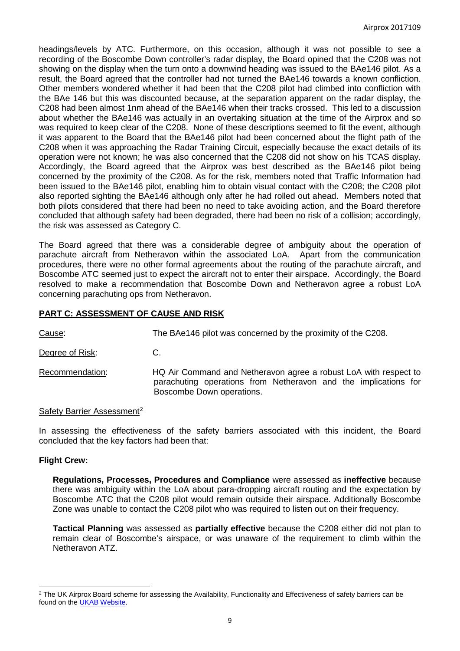headings/levels by ATC. Furthermore, on this occasion, although it was not possible to see a recording of the Boscombe Down controller's radar display, the Board opined that the C208 was not showing on the display when the turn onto a downwind heading was issued to the BAe146 pilot. As a result, the Board agreed that the controller had not turned the BAe146 towards a known confliction. Other members wondered whether it had been that the C208 pilot had climbed into confliction with the BAe 146 but this was discounted because, at the separation apparent on the radar display, the C208 had been almost 1nm ahead of the BAe146 when their tracks crossed. This led to a discussion about whether the BAe146 was actually in an overtaking situation at the time of the Airprox and so was required to keep clear of the C208. None of these descriptions seemed to fit the event, although it was apparent to the Board that the BAe146 pilot had been concerned about the flight path of the C208 when it was approaching the Radar Training Circuit, especially because the exact details of its operation were not known; he was also concerned that the C208 did not show on his TCAS display. Accordingly, the Board agreed that the Airprox was best described as the BAe146 pilot being concerned by the proximity of the C208. As for the risk, members noted that Traffic Information had been issued to the BAe146 pilot, enabling him to obtain visual contact with the C208; the C208 pilot also reported sighting the BAe146 although only after he had rolled out ahead. Members noted that both pilots considered that there had been no need to take avoiding action, and the Board therefore concluded that although safety had been degraded, there had been no risk of a collision; accordingly, the risk was assessed as Category C.

The Board agreed that there was a considerable degree of ambiguity about the operation of parachute aircraft from Netheravon within the associated LoA. Apart from the communication procedures, there were no other formal agreements about the routing of the parachute aircraft, and Boscombe ATC seemed just to expect the aircraft not to enter their airspace. Accordingly, the Board resolved to make a recommendation that Boscombe Down and Netheravon agree a robust LoA concerning parachuting ops from Netheravon.

# **PART C: ASSESSMENT OF CAUSE AND RISK**

Cause: The BAe146 pilot was concerned by the proximity of the C208.

Degree of Risk: C.

Recommendation: HQ Air Command and Netheravon agree a robust LoA with respect to parachuting operations from Netheravon and the implications for Boscombe Down operations.

# Safety Barrier Assessment<sup>[2](#page-8-0)</sup>

In assessing the effectiveness of the safety barriers associated with this incident, the Board concluded that the key factors had been that:

# **Flight Crew:**

l

**Regulations, Processes, Procedures and Compliance** were assessed as **ineffective** because there was ambiguity within the LoA about para-dropping aircraft routing and the expectation by Boscombe ATC that the C208 pilot would remain outside their airspace. Additionally Boscombe Zone was unable to contact the C208 pilot who was required to listen out on their frequency.

**Tactical Planning** was assessed as **partially effective** because the C208 either did not plan to remain clear of Boscombe's airspace, or was unaware of the requirement to climb within the Netheravon ATZ.

<span id="page-8-0"></span><sup>&</sup>lt;sup>2</sup> The UK Airprox Board scheme for assessing the Availability, Functionality and Effectiveness of safety barriers can be found on the [UKAB Website.](http://www.airproxboard.org.uk/Learn-more/Airprox-Barrier-Assessment/)